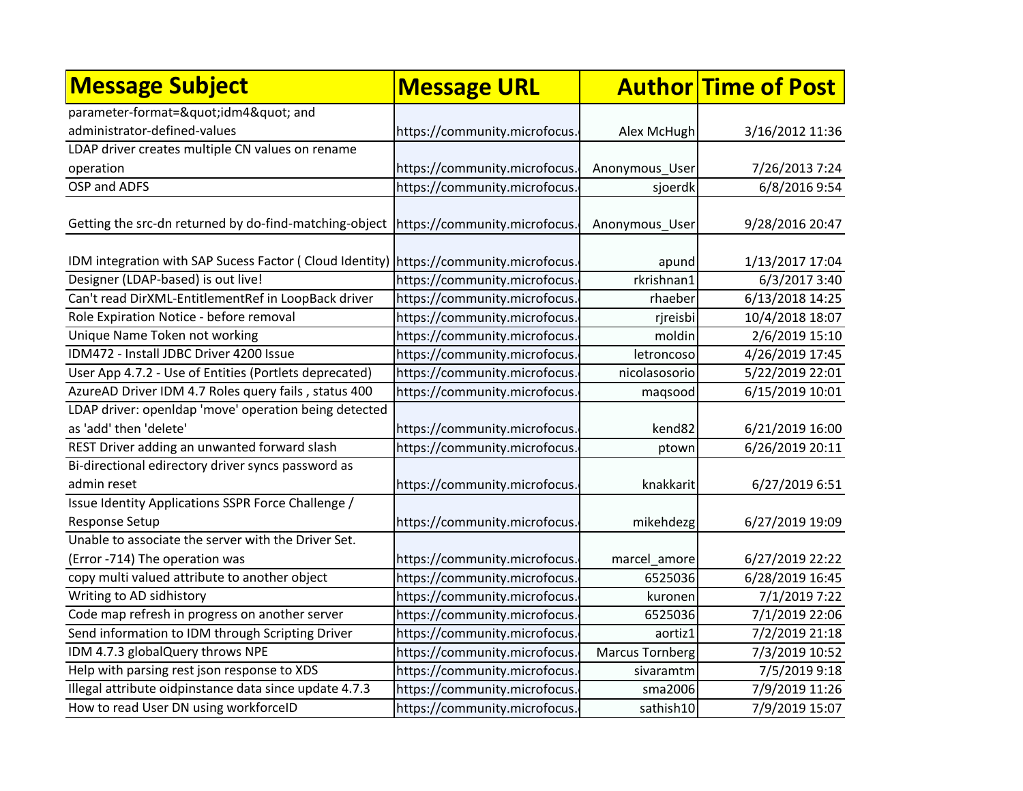| <b>Message Subject</b>                                                                | <b>Message URL</b>            |                        | <b>Author Time of Post</b> |
|---------------------------------------------------------------------------------------|-------------------------------|------------------------|----------------------------|
| parameter-format="idm4" and                                                           |                               |                        |                            |
| administrator-defined-values                                                          | https://community.microfocus. | Alex McHugh            | 3/16/2012 11:36            |
| LDAP driver creates multiple CN values on rename                                      |                               |                        |                            |
| operation                                                                             | https://community.microfocus. | Anonymous User         | 7/26/2013 7:24             |
| OSP and ADFS                                                                          | https://community.microfocus  | sjoerdk                | 6/8/2016 9:54              |
| Getting the src-dn returned by do-find-matching-object https://community.microfocus.  |                               | Anonymous User         | 9/28/2016 20:47            |
| IDM integration with SAP Sucess Factor (Cloud Identity) https://community.microfocus. |                               | apund                  | 1/13/2017 17:04            |
| Designer (LDAP-based) is out live!                                                    | https://community.microfocus. | rkrishnan1             | 6/3/2017 3:40              |
| Can't read DirXML-EntitlementRef in LoopBack driver                                   | https://community.microfocus. | rhaeber                | 6/13/2018 14:25            |
| Role Expiration Notice - before removal                                               | https://community.microfocus. | rjreisbi               | 10/4/2018 18:07            |
| Unique Name Token not working                                                         | https://community.microfocus. | moldin                 | 2/6/2019 15:10             |
| IDM472 - Install JDBC Driver 4200 Issue                                               | https://community.microfocus. | letroncoso             | 4/26/2019 17:45            |
| User App 4.7.2 - Use of Entities (Portlets deprecated)                                | https://community.microfocus. | nicolasosorio          | 5/22/2019 22:01            |
| AzureAD Driver IDM 4.7 Roles query fails, status 400                                  | https://community.microfocus. | maqsood                | 6/15/2019 10:01            |
| LDAP driver: openIdap 'move' operation being detected                                 |                               |                        |                            |
| as 'add' then 'delete'                                                                | https://community.microfocus. | kend82                 | 6/21/2019 16:00            |
| REST Driver adding an unwanted forward slash                                          | https://community.microfocus. | ptown                  | 6/26/2019 20:11            |
| Bi-directional edirectory driver syncs password as                                    |                               |                        |                            |
| admin reset                                                                           | https://community.microfocus. | knakkarit              | 6/27/2019 6:51             |
| Issue Identity Applications SSPR Force Challenge /<br>Response Setup                  | https://community.microfocus. | mikehdezg              | 6/27/2019 19:09            |
| Unable to associate the server with the Driver Set.                                   |                               |                        |                            |
| (Error -714) The operation was                                                        | https://community.microfocus. | marcel_amore           | 6/27/2019 22:22            |
| copy multi valued attribute to another object                                         | https://community.microfocus. | 6525036                | 6/28/2019 16:45            |
| Writing to AD sidhistory                                                              | https://community.microfocus. | kuronen                | 7/1/2019 7:22              |
| Code map refresh in progress on another server                                        | https://community.microfocus. | 6525036                | 7/1/2019 22:06             |
| Send information to IDM through Scripting Driver                                      | https://community.microfocus. | aortiz1                | 7/2/2019 21:18             |
| IDM 4.7.3 globalQuery throws NPE                                                      | https://community.microfocus. | <b>Marcus Tornberg</b> | 7/3/2019 10:52             |
| Help with parsing rest json response to XDS                                           | https://community.microfocus. | sivaramtm              | 7/5/2019 9:18              |
| Illegal attribute oidpinstance data since update 4.7.3                                | https://community.microfocus. | sma2006                | 7/9/2019 11:26             |
| How to read User DN using workforceID                                                 | https://community.microfocus. | sathish10              | 7/9/2019 15:07             |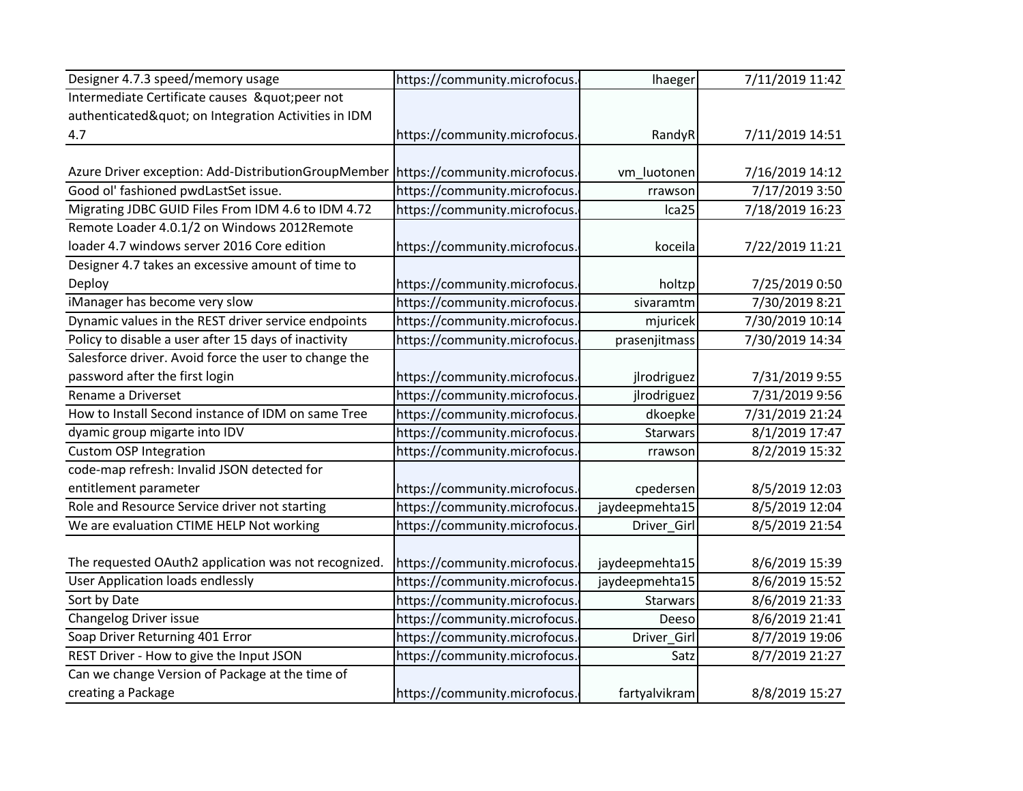| Designer 4.7.3 speed/memory usage                                                 | https://community.microfocus. | lhaeger        | 7/11/2019 11:42 |
|-----------------------------------------------------------------------------------|-------------------------------|----------------|-----------------|
| Intermediate Certificate causes " peer not                                        |                               |                |                 |
| authenticated" on Integration Activities in IDM                                   |                               |                |                 |
| 4.7                                                                               | https://community.microfocus. | RandyR         | 7/11/2019 14:51 |
|                                                                                   |                               |                |                 |
| Azure Driver exception: Add-DistributionGroupMember https://community.microfocus. |                               | vm_luotonen    | 7/16/2019 14:12 |
| Good ol' fashioned pwdLastSet issue.                                              | https://community.microfocus. | rrawson        | 7/17/2019 3:50  |
| Migrating JDBC GUID Files From IDM 4.6 to IDM 4.72                                | https://community.microfocus. | Ica25          | 7/18/2019 16:23 |
| Remote Loader 4.0.1/2 on Windows 2012Remote                                       |                               |                |                 |
| loader 4.7 windows server 2016 Core edition                                       | https://community.microfocus. | koceila        | 7/22/2019 11:21 |
| Designer 4.7 takes an excessive amount of time to                                 |                               |                |                 |
| Deploy                                                                            | https://community.microfocus. | holtzp         | 7/25/2019 0:50  |
| iManager has become very slow                                                     | https://community.microfocus. | sivaramtm      | 7/30/2019 8:21  |
| Dynamic values in the REST driver service endpoints                               | https://community.microfocus. | mjuricek       | 7/30/2019 10:14 |
| Policy to disable a user after 15 days of inactivity                              | https://community.microfocus. | prasenjitmass  | 7/30/2019 14:34 |
| Salesforce driver. Avoid force the user to change the                             |                               |                |                 |
| password after the first login                                                    | https://community.microfocus. | jlrodriguez    | 7/31/2019 9:55  |
| Rename a Driverset                                                                | https://community.microfocus. | jlrodriguez    | 7/31/2019 9:56  |
| How to Install Second instance of IDM on same Tree                                | https://community.microfocus. | dkoepke        | 7/31/2019 21:24 |
| dyamic group migarte into IDV                                                     | https://community.microfocus. | Starwars       | 8/1/2019 17:47  |
| <b>Custom OSP Integration</b>                                                     | https://community.microfocus. | rrawson        | 8/2/2019 15:32  |
| code-map refresh: Invalid JSON detected for                                       |                               |                |                 |
| entitlement parameter                                                             | https://community.microfocus. | cpedersen      | 8/5/2019 12:03  |
| Role and Resource Service driver not starting                                     | https://community.microfocus. | jaydeepmehta15 | 8/5/2019 12:04  |
| We are evaluation CTIME HELP Not working                                          | https://community.microfocus. | Driver_Girl    | 8/5/2019 21:54  |
|                                                                                   |                               |                |                 |
| The requested OAuth2 application was not recognized.                              | https://community.microfocus. | jaydeepmehta15 | 8/6/2019 15:39  |
| <b>User Application loads endlessly</b>                                           | https://community.microfocus. | jaydeepmehta15 | 8/6/2019 15:52  |
| Sort by Date                                                                      | https://community.microfocus. | Starwars       | 8/6/2019 21:33  |
| Changelog Driver issue                                                            | https://community.microfocus. | Deeso          | 8/6/2019 21:41  |
| Soap Driver Returning 401 Error                                                   | https://community.microfocus. | Driver Girl    | 8/7/2019 19:06  |
| REST Driver - How to give the Input JSON                                          | https://community.microfocus  | Satz           | 8/7/2019 21:27  |
| Can we change Version of Package at the time of                                   |                               |                |                 |
| creating a Package                                                                | https://community.microfocus. | fartyalvikram  | 8/8/2019 15:27  |
|                                                                                   |                               |                |                 |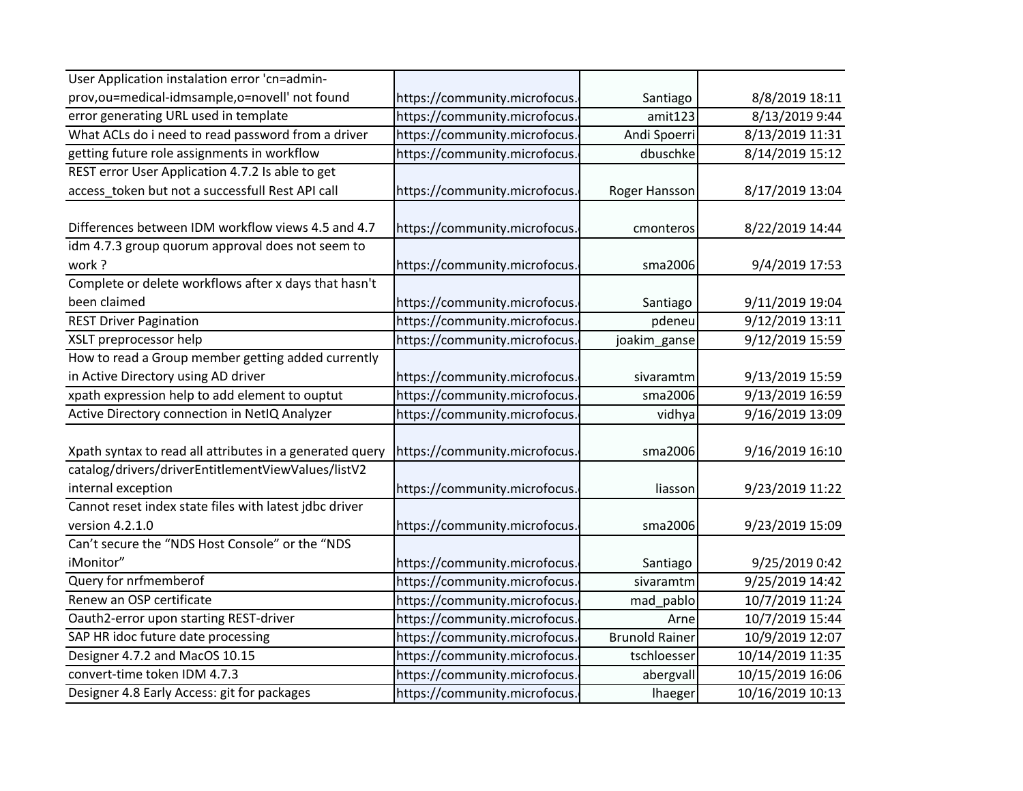| User Application instalation error 'cn=admin-            |                               |                       |                  |
|----------------------------------------------------------|-------------------------------|-----------------------|------------------|
|                                                          |                               |                       |                  |
| prov, ou=medical-idmsample, o=novell' not found          | https://community.microfocus. | Santiago              | 8/8/2019 18:11   |
| error generating URL used in template                    | https://community.microfocus. | amit123               | 8/13/2019 9:44   |
| What ACLs do i need to read password from a driver       | https://community.microfocus. | Andi Spoerri          | 8/13/2019 11:31  |
| getting future role assignments in workflow              | https://community.microfocus. | dbuschke              | 8/14/2019 15:12  |
| REST error User Application 4.7.2 Is able to get         |                               |                       |                  |
| access_token but not a successfull Rest API call         | https://community.microfocus. | Roger Hansson         | 8/17/2019 13:04  |
|                                                          |                               |                       |                  |
| Differences between IDM workflow views 4.5 and 4.7       | https://community.microfocus. | cmonteros             | 8/22/2019 14:44  |
| idm 4.7.3 group quorum approval does not seem to         |                               |                       |                  |
| work?                                                    | https://community.microfocus. | sma2006               | 9/4/2019 17:53   |
| Complete or delete workflows after x days that hasn't    |                               |                       |                  |
| been claimed                                             | https://community.microfocus. | Santiago              | 9/11/2019 19:04  |
| <b>REST Driver Pagination</b>                            | https://community.microfocus. | pdeneu                | 9/12/2019 13:11  |
| XSLT preprocessor help                                   | https://community.microfocus. | joakim_gansel         | 9/12/2019 15:59  |
| How to read a Group member getting added currently       |                               |                       |                  |
| in Active Directory using AD driver                      | https://community.microfocus. | sivaramtm             | 9/13/2019 15:59  |
| xpath expression help to add element to ouptut           | https://community.microfocus. | sma2006               | 9/13/2019 16:59  |
| Active Directory connection in NetIQ Analyzer            | https://community.microfocus. | vidhya                | 9/16/2019 13:09  |
|                                                          |                               |                       |                  |
| Xpath syntax to read all attributes in a generated query | https://community.microfocus. | sma2006               | 9/16/2019 16:10  |
| catalog/drivers/driverEntitlementViewValues/listV2       |                               |                       |                  |
| internal exception                                       | https://community.microfocus. | liasson               | 9/23/2019 11:22  |
| Cannot reset index state files with latest jdbc driver   |                               |                       |                  |
| version 4.2.1.0                                          | https://community.microfocus. | sma2006               | 9/23/2019 15:09  |
| Can't secure the "NDS Host Console" or the "NDS          |                               |                       |                  |
| iMonitor"                                                | https://community.microfocus. | Santiago              | 9/25/2019 0:42   |
| Query for nrfmemberof                                    | https://community.microfocus. | sivaramtm             | 9/25/2019 14:42  |
| Renew an OSP certificate                                 | https://community.microfocus. | mad_pablo             | 10/7/2019 11:24  |
| Oauth2-error upon starting REST-driver                   | https://community.microfocus. | Arne                  | 10/7/2019 15:44  |
| SAP HR idoc future date processing                       | https://community.microfocus. | <b>Brunold Rainer</b> | 10/9/2019 12:07  |
| Designer 4.7.2 and MacOS 10.15                           | https://community.microfocus. | tschloesser           | 10/14/2019 11:35 |
| convert-time token IDM 4.7.3                             | https://community.microfocus. | abergvall             | 10/15/2019 16:06 |
| Designer 4.8 Early Access: git for packages              | https://community.microfocus. | lhaeger               | 10/16/2019 10:13 |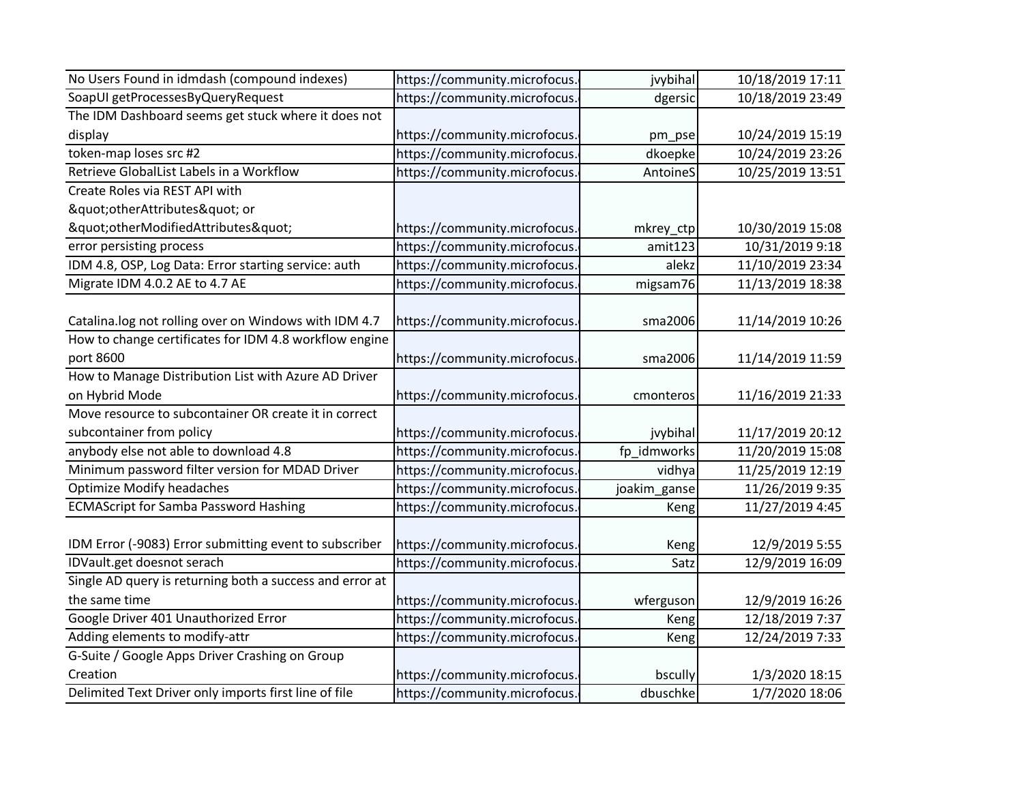| No Users Found in idmdash (compound indexes)             | https://community.microfocus. | jvybihal     | 10/18/2019 17:11 |
|----------------------------------------------------------|-------------------------------|--------------|------------------|
| SoapUI getProcessesByQueryRequest                        | https://community.microfocus. | dgersic      | 10/18/2019 23:49 |
| The IDM Dashboard seems get stuck where it does not      |                               |              |                  |
| display                                                  | https://community.microfocus. | pm_pse       | 10/24/2019 15:19 |
| token-map loses src #2                                   | https://community.microfocus. | dkoepke      | 10/24/2019 23:26 |
| Retrieve GlobalList Labels in a Workflow                 | https://community.microfocus. | AntoineS     | 10/25/2019 13:51 |
| Create Roles via REST API with                           |                               |              |                  |
| "otherAttributes" or                                     |                               |              |                  |
| "otherModifiedAttributes"                                | https://community.microfocus. | mkrey_ctp    | 10/30/2019 15:08 |
| error persisting process                                 | https://community.microfocus. | amit123      | 10/31/2019 9:18  |
| IDM 4.8, OSP, Log Data: Error starting service: auth     | https://community.microfocus. | alekz        | 11/10/2019 23:34 |
| Migrate IDM 4.0.2 AE to 4.7 AE                           | https://community.microfocus. | migsam76     | 11/13/2019 18:38 |
|                                                          |                               |              |                  |
| Catalina.log not rolling over on Windows with IDM 4.7    | https://community.microfocus. | sma2006      | 11/14/2019 10:26 |
| How to change certificates for IDM 4.8 workflow engine   |                               |              |                  |
| port 8600                                                | https://community.microfocus. | sma2006      | 11/14/2019 11:59 |
| How to Manage Distribution List with Azure AD Driver     |                               |              |                  |
| on Hybrid Mode                                           | https://community.microfocus. | cmonteros    | 11/16/2019 21:33 |
| Move resource to subcontainer OR create it in correct    |                               |              |                  |
| subcontainer from policy                                 | https://community.microfocus. | jvybihal     | 11/17/2019 20:12 |
| anybody else not able to download 4.8                    | https://community.microfocus. | fp_idmworks  | 11/20/2019 15:08 |
| Minimum password filter version for MDAD Driver          | https://community.microfocus. | vidhya       | 11/25/2019 12:19 |
| <b>Optimize Modify headaches</b>                         | https://community.microfocus. | joakim_ganse | 11/26/2019 9:35  |
| <b>ECMAScript for Samba Password Hashing</b>             | https://community.microfocus  | Keng         | 11/27/2019 4:45  |
|                                                          |                               |              |                  |
| IDM Error (-9083) Error submitting event to subscriber   | https://community.microfocus. | Keng         | 12/9/2019 5:55   |
| IDVault.get doesnot serach                               | https://community.microfocus. | Satz         | 12/9/2019 16:09  |
| Single AD query is returning both a success and error at |                               |              |                  |
| the same time                                            | https://community.microfocus. | wferguson    | 12/9/2019 16:26  |
| Google Driver 401 Unauthorized Error                     | https://community.microfocus. | Keng         | 12/18/2019 7:37  |
| Adding elements to modify-attr                           | https://community.microfocus. | Keng         | 12/24/2019 7:33  |
| G-Suite / Google Apps Driver Crashing on Group           |                               |              |                  |
| Creation                                                 | https://community.microfocus. | bscully      | 1/3/2020 18:15   |
| Delimited Text Driver only imports first line of file    | https://community.microfocus. | dbuschke     | 1/7/2020 18:06   |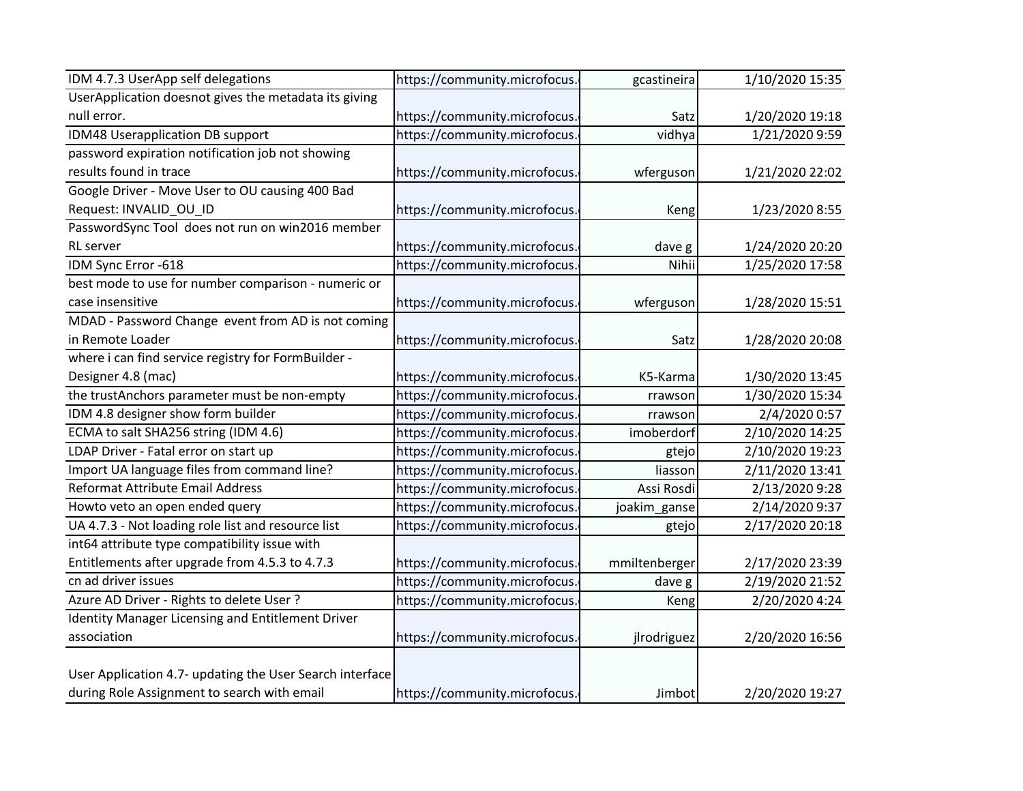| IDM 4.7.3 UserApp self delegations                       | https://community.microfocus. | gcastineira   | 1/10/2020 15:35 |
|----------------------------------------------------------|-------------------------------|---------------|-----------------|
| UserApplication doesnot gives the metadata its giving    |                               |               |                 |
| null error.                                              | https://community.microfocus. | Satz          | 1/20/2020 19:18 |
| IDM48 Userapplication DB support                         | https://community.microfocus. | vidhya        | 1/21/2020 9:59  |
| password expiration notification job not showing         |                               |               |                 |
| results found in trace                                   | https://community.microfocus. | wferguson     | 1/21/2020 22:02 |
| Google Driver - Move User to OU causing 400 Bad          |                               |               |                 |
| Request: INVALID_OU_ID                                   | https://community.microfocus. | Keng          | 1/23/2020 8:55  |
| PasswordSync Tool does not run on win2016 member         |                               |               |                 |
| RL server                                                | https://community.microfocus. | dave g        | 1/24/2020 20:20 |
| IDM Sync Error -618                                      | https://community.microfocus. | Nihii         | 1/25/2020 17:58 |
| best mode to use for number comparison - numeric or      |                               |               |                 |
| case insensitive                                         | https://community.microfocus. | wferguson     | 1/28/2020 15:51 |
| MDAD - Password Change event from AD is not coming       |                               |               |                 |
| in Remote Loader                                         | https://community.microfocus. | Satz          | 1/28/2020 20:08 |
| where i can find service registry for FormBuilder -      |                               |               |                 |
| Designer 4.8 (mac)                                       | https://community.microfocus. | K5-Karma      | 1/30/2020 13:45 |
| the trustAnchors parameter must be non-empty             | https://community.microfocus. | rrawson       | 1/30/2020 15:34 |
| IDM 4.8 designer show form builder                       | https://community.microfocus. | rrawson       | 2/4/2020 0:57   |
| ECMA to salt SHA256 string (IDM 4.6)                     | https://community.microfocus. | imoberdorf    | 2/10/2020 14:25 |
| LDAP Driver - Fatal error on start up                    | https://community.microfocus. | gtejo         | 2/10/2020 19:23 |
| Import UA language files from command line?              | https://community.microfocus. | liasson       | 2/11/2020 13:41 |
| Reformat Attribute Email Address                         | https://community.microfocus. | Assi Rosdi    | 2/13/2020 9:28  |
| Howto veto an open ended query                           | https://community.microfocus. | joakim_ganse  | 2/14/2020 9:37  |
| UA 4.7.3 - Not loading role list and resource list       | https://community.microfocus. | gtejo         | 2/17/2020 20:18 |
| int64 attribute type compatibility issue with            |                               |               |                 |
| Entitlements after upgrade from 4.5.3 to 4.7.3           | https://community.microfocus. | mmiltenberger | 2/17/2020 23:39 |
| cn ad driver issues                                      | https://community.microfocus. | dave g        | 2/19/2020 21:52 |
| Azure AD Driver - Rights to delete User ?                | https://community.microfocus  | Keng          | 2/20/2020 4:24  |
| Identity Manager Licensing and Entitlement Driver        |                               |               |                 |
| association                                              | https://community.microfocus. | jlrodriguez   | 2/20/2020 16:56 |
|                                                          |                               |               |                 |
| User Application 4.7- updating the User Search interface |                               |               |                 |
| during Role Assignment to search with email              | https://community.microfocus. | Jimbot        | 2/20/2020 19:27 |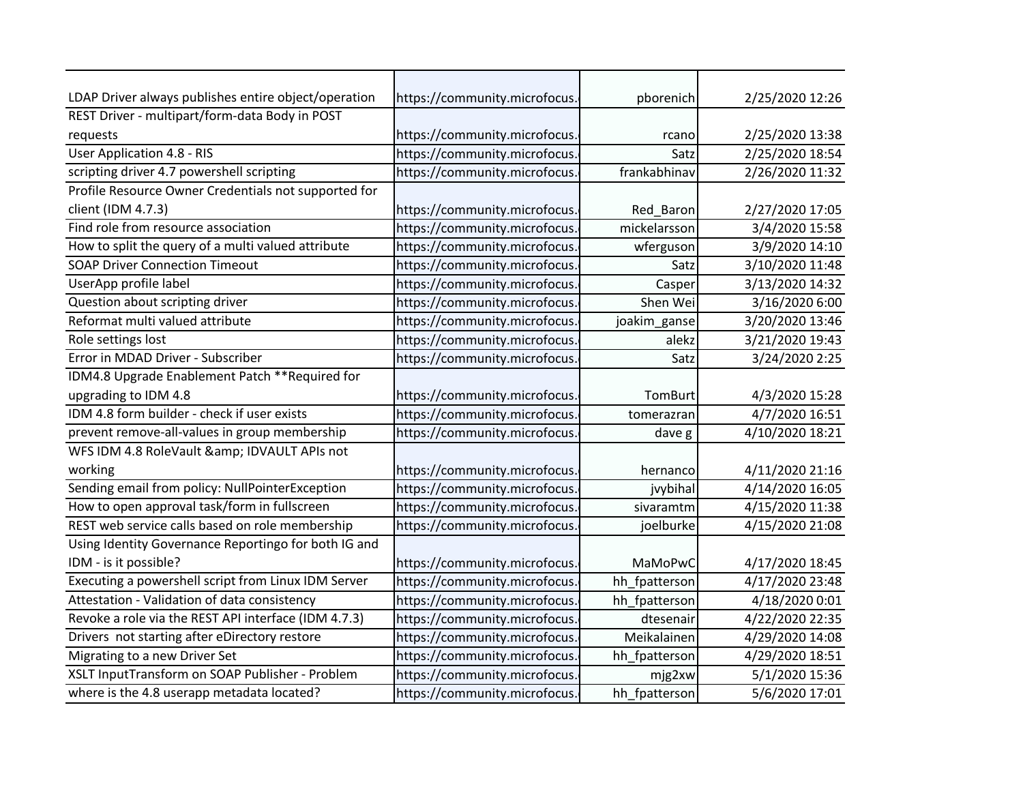| LDAP Driver always publishes entire object/operation | https://community.microfocus. | pborenich     | 2/25/2020 12:26 |
|------------------------------------------------------|-------------------------------|---------------|-----------------|
| REST Driver - multipart/form-data Body in POST       |                               |               |                 |
| requests                                             | https://community.microfocus. | rcano         | 2/25/2020 13:38 |
| <b>User Application 4.8 - RIS</b>                    | https://community.microfocus. | Satz          | 2/25/2020 18:54 |
| scripting driver 4.7 powershell scripting            | https://community.microfocus. | frankabhinav  | 2/26/2020 11:32 |
| Profile Resource Owner Credentials not supported for |                               |               |                 |
| client (IDM 4.7.3)                                   | https://community.microfocus. | Red_Baron     | 2/27/2020 17:05 |
| Find role from resource association                  | https://community.microfocus. | mickelarsson  | 3/4/2020 15:58  |
| How to split the query of a multi valued attribute   | https://community.microfocus. | wferguson     | 3/9/2020 14:10  |
| <b>SOAP Driver Connection Timeout</b>                | https://community.microfocus. | Satz          | 3/10/2020 11:48 |
| UserApp profile label                                | https://community.microfocus. | Casper        | 3/13/2020 14:32 |
| Question about scripting driver                      | https://community.microfocus. | Shen Wei      | 3/16/2020 6:00  |
| Reformat multi valued attribute                      | https://community.microfocus. | joakim_ganse  | 3/20/2020 13:46 |
| Role settings lost                                   | https://community.microfocus. | alekz         | 3/21/2020 19:43 |
| Error in MDAD Driver - Subscriber                    | https://community.microfocus. | Satz          | 3/24/2020 2:25  |
| IDM4.8 Upgrade Enablement Patch ** Required for      |                               |               |                 |
| upgrading to IDM 4.8                                 | https://community.microfocus. | TomBurt       | 4/3/2020 15:28  |
| IDM 4.8 form builder - check if user exists          | https://community.microfocus. | tomerazran    | 4/7/2020 16:51  |
| prevent remove-all-values in group membership        | https://community.microfocus. | dave g        | 4/10/2020 18:21 |
| WFS IDM 4.8 RoleVault & IDVAULT APIs not             |                               |               |                 |
| working                                              | https://community.microfocus. | hernanco      | 4/11/2020 21:16 |
| Sending email from policy: NullPointerException      | https://community.microfocus. | jvybihal      | 4/14/2020 16:05 |
| How to open approval task/form in fullscreen         | https://community.microfocus. | sivaramtm     | 4/15/2020 11:38 |
| REST web service calls based on role membership      | https://community.microfocus  | joelburke     | 4/15/2020 21:08 |
| Using Identity Governance Reportingo for both IG and |                               |               |                 |
| IDM - is it possible?                                | https://community.microfocus. | MaMoPwC       | 4/17/2020 18:45 |
| Executing a powershell script from Linux IDM Server  | https://community.microfocus. | hh fpatterson | 4/17/2020 23:48 |
| Attestation - Validation of data consistency         | https://community.microfocus. | hh_fpatterson | 4/18/2020 0:01  |
| Revoke a role via the REST API interface (IDM 4.7.3) | https://community.microfocus. | dtesenair     | 4/22/2020 22:35 |
| Drivers not starting after eDirectory restore        | https://community.microfocus. | Meikalainen   | 4/29/2020 14:08 |
| Migrating to a new Driver Set                        | https://community.microfocus. | hh_fpatterson | 4/29/2020 18:51 |
| XSLT InputTransform on SOAP Publisher - Problem      | https://community.microfocus. | mjg2xw        | 5/1/2020 15:36  |
| where is the 4.8 userapp metadata located?           | https://community.microfocus. | hh_fpatterson | 5/6/2020 17:01  |